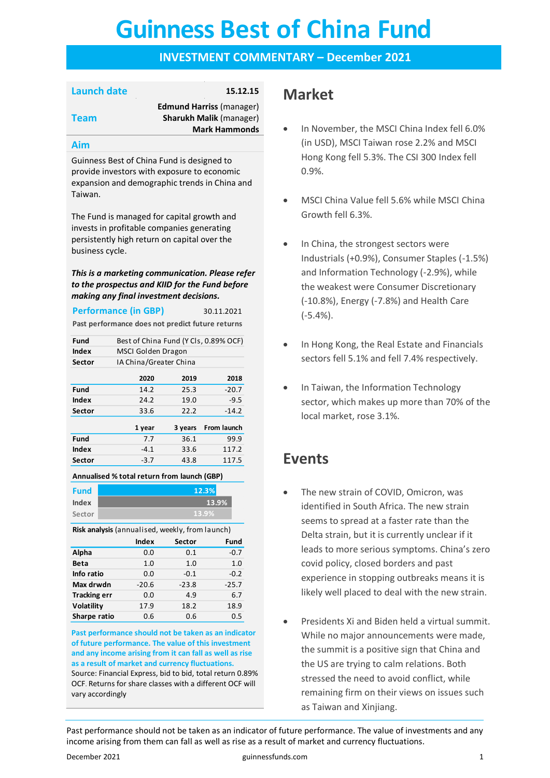# **Guinness Best of China Fund Guinness Best of China Fund**

### **INVESTMENT COMMENTARY – December 2021**

### **Launch date 15.12.15**

**Team**

**Edmund Harriss** (manager) **Sharukh Malik** (manager) **Mark Hammonds**

#### **Aim**

Guinness Best of China Fund is designed to provide investors with exposure to economic expansion and demographic trends in China and Taiwan.

The Fund is managed for capital growth and invests in profitable companies generating persistently high return on capital over the business cycle.

*This is a marketing communication. Please refer to the prospectus and KIID for the Fund before making any final investment decisions.*

| <b>Performance (in GBP)</b> | 30.11.2021                                       |
|-----------------------------|--------------------------------------------------|
|                             | Past performance does not predict future returns |

| Fund         |      | Best of China Fund (Y Cls, 0.89% OCF) |         |  |  |
|--------------|------|---------------------------------------|---------|--|--|
| <b>Index</b> |      | MSCI Golden Dragon                    |         |  |  |
| Sector       |      | IA China/Greater China                |         |  |  |
|              | 2020 | 2019                                  | 2018    |  |  |
| <b>Fund</b>  | 14.2 | 25.3                                  | $-20.7$ |  |  |
| <b>Index</b> | 24.2 | 19.0                                  | $-9.5$  |  |  |
| Sector       | 33.6 | 22.2                                  | $-14.2$ |  |  |

|              | 1 year | 3 years | From launch |
|--------------|--------|---------|-------------|
| <b>Fund</b>  | 7.7    | 36.1    | 99.9        |
| <b>Index</b> | $-4.1$ | 33.6    | 117.2       |
| Sector       | $-3.7$ | 43.8    | 117.5       |

**Annualised % total return from launch (GBP)**

| <b>Fund</b> | 12.3% |
|-------------|-------|
| Index       | 13.9% |
| Sector      | 13.9% |

**Risk analysis** (annualised, weekly, from launch)

|                     | <b>Index</b> | Sector  | Fund    |
|---------------------|--------------|---------|---------|
| Alpha               | 0.0          | 0.1     | $-0.7$  |
| <b>Beta</b>         | 1.0          | 1.0     | 1.0     |
| Info ratio          | 0.0          | $-0.1$  | $-0.2$  |
| Max drwdn           | $-20.6$      | $-23.8$ | $-25.7$ |
| <b>Tracking err</b> | 0.0          | 4.9     | 6.7     |
| Volatility          | 17.9         | 18.2    | 18.9    |
| Sharpe ratio        | 0.6          | 0.6     | 0.5     |

**Past performance should not be taken as an indicator of future performance. The value of this investment and any income arising from it can fall as well as rise as a result of market and currency fluctuations.**  Source: Financial Express, bid to bid, total return 0.89% OCF. Returns for share classes with a different OCF will vary accordingly

### **Market**

- In November, the MSCI China Index fell 6.0% (in USD), MSCI Taiwan rose 2.2% and MSCI Hong Kong fell 5.3%. The CSI 300 Index fell 0.9%.
- MSCI China Value fell 5.6% while MSCI China Growth fell 6.3%.
- In China, the strongest sectors were Industrials (+0.9%), Consumer Staples (-1.5%) and Information Technology (-2.9%), while the weakest were Consumer Discretionary (-10.8%), Energy (-7.8%) and Health Care (-5.4%).
- In Hong Kong, the Real Estate and Financials sectors fell 5.1% and fell 7.4% respectively.
- In Taiwan, the Information Technology sector, which makes up more than 70% of the local market, rose 3.1%.

### **Events**

- The new strain of COVID, Omicron, was identified in South Africa. The new strain seems to spread at a faster rate than the Delta strain, but it is currently unclear if it leads to more serious symptoms. China's zero covid policy, closed borders and past experience in stopping outbreaks means it is likely well placed to deal with the new strain.
- Presidents Xi and Biden held a virtual summit. While no major announcements were made, the summit is a positive sign that China and the US are trying to calm relations. Both stressed the need to avoid conflict, while remaining firm on their views on issues such as Taiwan and Xinjiang.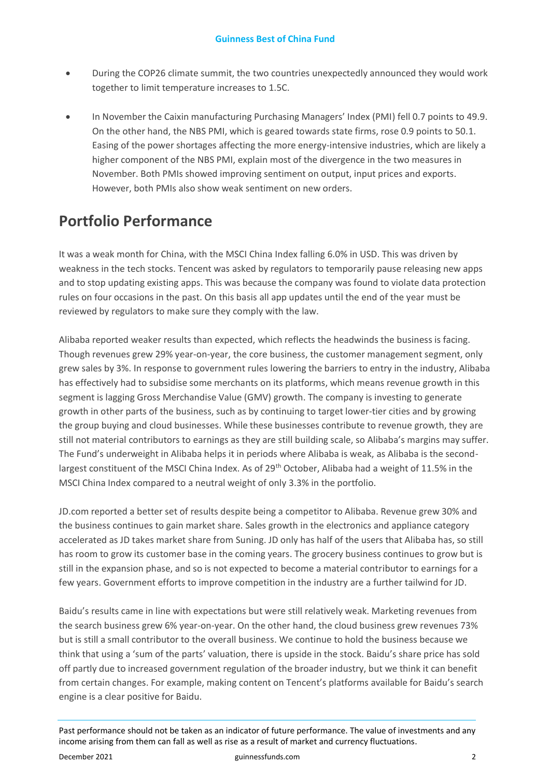- During the COP26 climate summit, the two countries unexpectedly announced they would work together to limit temperature increases to 1.5C.
- In November the Caixin manufacturing Purchasing Managers' Index (PMI) fell 0.7 points to 49.9. On the other hand, the NBS PMI, which is geared towards state firms, rose 0.9 points to 50.1. Easing of the power shortages affecting the more energy-intensive industries, which are likely a higher component of the NBS PMI, explain most of the divergence in the two measures in November. Both PMIs showed improving sentiment on output, input prices and exports. However, both PMIs also show weak sentiment on new orders.

## **Portfolio Performance**

It was a weak month for China, with the MSCI China Index falling 6.0% in USD. This was driven by weakness in the tech stocks. Tencent was asked by regulators to temporarily pause releasing new apps and to stop updating existing apps. This was because the company was found to violate data protection rules on four occasions in the past. On this basis all app updates until the end of the year must be reviewed by regulators to make sure they comply with the law.

Alibaba reported weaker results than expected, which reflects the headwinds the business is facing. Though revenues grew 29% year-on-year, the core business, the customer management segment, only grew sales by 3%. In response to government rules lowering the barriers to entry in the industry, Alibaba has effectively had to subsidise some merchants on its platforms, which means revenue growth in this segment is lagging Gross Merchandise Value (GMV) growth. The company is investing to generate growth in other parts of the business, such as by continuing to target lower-tier cities and by growing the group buying and cloud businesses. While these businesses contribute to revenue growth, they are still not material contributors to earnings as they are still building scale, so Alibaba's margins may suffer. The Fund's underweight in Alibaba helps it in periods where Alibaba is weak, as Alibaba is the secondlargest constituent of the MSCI China Index. As of 29<sup>th</sup> October, Alibaba had a weight of 11.5% in the MSCI China Index compared to a neutral weight of only 3.3% in the portfolio.

JD.com reported a better set of results despite being a competitor to Alibaba. Revenue grew 30% and the business continues to gain market share. Sales growth in the electronics and appliance category accelerated as JD takes market share from Suning. JD only has half of the users that Alibaba has, so still has room to grow its customer base in the coming years. The grocery business continues to grow but is still in the expansion phase, and so is not expected to become a material contributor to earnings for a few years. Government efforts to improve competition in the industry are a further tailwind for JD.

Baidu's results came in line with expectations but were still relatively weak. Marketing revenues from the search business grew 6% year-on-year. On the other hand, the cloud business grew revenues 73% but is still a small contributor to the overall business. We continue to hold the business because we think that using a 'sum of the parts' valuation, there is upside in the stock. Baidu's share price has sold off partly due to increased government regulation of the broader industry, but we think it can benefit from certain changes. For example, making content on Tencent's platforms available for Baidu's search engine is a clear positive for Baidu.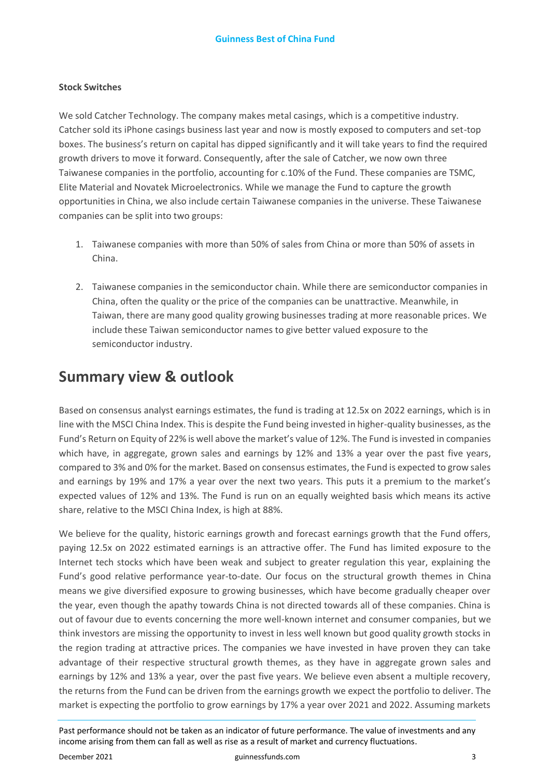#### **Stock Switches**

We sold Catcher Technology. The company makes metal casings, which is a competitive industry. Catcher sold its iPhone casings business last year and now is mostly exposed to computers and set-top boxes. The business's return on capital has dipped significantly and it will take years to find the required growth drivers to move it forward. Consequently, after the sale of Catcher, we now own three Taiwanese companies in the portfolio, accounting for c.10% of the Fund. These companies are TSMC, Elite Material and Novatek Microelectronics. While we manage the Fund to capture the growth opportunities in China, we also include certain Taiwanese companies in the universe. These Taiwanese companies can be split into two groups:

- 1. Taiwanese companies with more than 50% of sales from China or more than 50% of assets in China.
- 2. Taiwanese companies in the semiconductor chain. While there are semiconductor companies in China, often the quality or the price of the companies can be unattractive. Meanwhile, in Taiwan, there are many good quality growing businesses trading at more reasonable prices. We include these Taiwan semiconductor names to give better valued exposure to the semiconductor industry.

### **Summary view & outlook**

Based on consensus analyst earnings estimates, the fund is trading at 12.5x on 2022 earnings, which is in line with the MSCI China Index. This is despite the Fund being invested in higher-quality businesses, as the Fund's Return on Equity of 22% is well above the market's value of 12%. The Fund is invested in companies which have, in aggregate, grown sales and earnings by 12% and 13% a year over the past five years, compared to 3% and 0% for the market. Based on consensus estimates, the Fund is expected to grow sales and earnings by 19% and 17% a year over the next two years. This puts it a premium to the market's expected values of 12% and 13%. The Fund is run on an equally weighted basis which means its active share, relative to the MSCI China Index, is high at 88%.

We believe for the quality, historic earnings growth and forecast earnings growth that the Fund offers, paying 12.5x on 2022 estimated earnings is an attractive offer. The Fund has limited exposure to the Internet tech stocks which have been weak and subject to greater regulation this year, explaining the Fund's good relative performance year-to-date. Our focus on the structural growth themes in China means we give diversified exposure to growing businesses, which have become gradually cheaper over the year, even though the apathy towards China is not directed towards all of these companies. China is out of favour due to events concerning the more well-known internet and consumer companies, but we think investors are missing the opportunity to invest in less well known but good quality growth stocks in the region trading at attractive prices. The companies we have invested in have proven they can take advantage of their respective structural growth themes, as they have in aggregate grown sales and earnings by 12% and 13% a year, over the past five years. We believe even absent a multiple recovery, the returns from the Fund can be driven from the earnings growth we expect the portfolio to deliver. The market is expecting the portfolio to grow earnings by 17% a year over 2021 and 2022. Assuming markets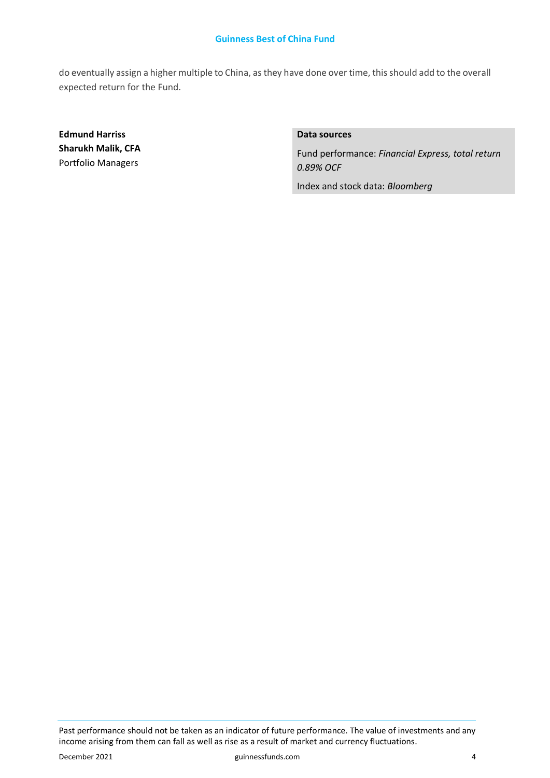#### **Guinness Best of China Fund**

do eventually assign a higher multiple to China, as they have done over time, this should add to the overall expected return for the Fund.

**Edmund Harriss Sharukh Malik, CFA**  Portfolio Managers

### **Data sources**

Fund performance: *Financial Express, total return 0.89% OCF*

Index and stock data: *Bloomberg*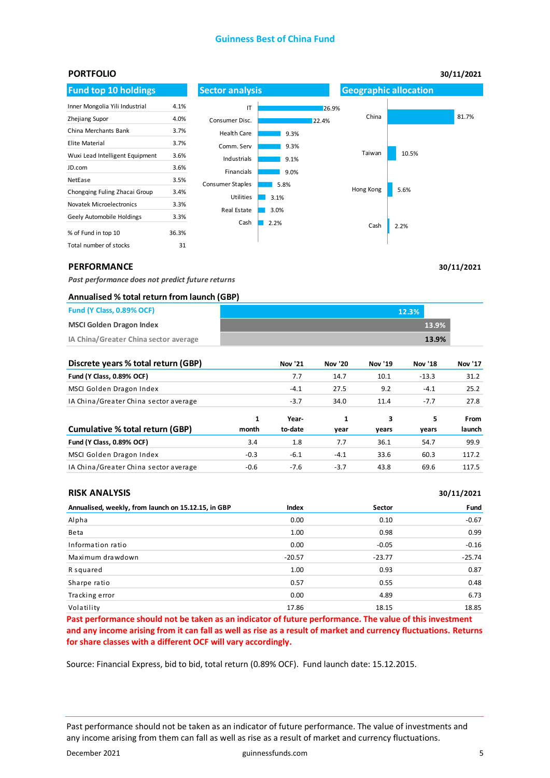#### **Guinness Best of China Fund**



**30/11/2021**

**30/11/2021**

#### **PERFORMANCE**

*Past performance does not predict future returns* 

#### **Annualised % total return from launch (GBP)**

| Fund (Y Class, 0.89% OCF)             | 12.3% |  |
|---------------------------------------|-------|--|
| <b>MSCI Golden Dragon Index</b>       | 13.9% |  |
| IA China/Greater China sector average | 13.9% |  |

| Discrete years % total return (GBP)   |            | Nov '21          | <b>Nov '20</b> | Nov '19    | Nov '18    | <b>Nov '17</b> |
|---------------------------------------|------------|------------------|----------------|------------|------------|----------------|
| Fund (Y Class, 0.89% OCF)             |            | 7.7              | 14.7           | 10.1       | $-13.3$    | 31.2           |
| MSCI Golden Dragon Index              |            | $-4.1$           | 27.5           | 9.2        | $-4.1$     | 25.2           |
| IA China/Greater China sector average |            | $-3.7$           | 34.0           | 11.4       | $-7.7$     | 27.8           |
| Cumulative % total return (GBP)       | 1<br>month | Year-<br>to-date | 1<br>year      | 3<br>years | 5<br>years | From<br>launch |
| Fund (Y Class, 0.89% OCF)             | 3.4        | 1.8              | 7.7            | 36.1       | 54.7       | 99.9           |
| MSCI Golden Dragon Index              | $-0.3$     | $-6.1$           | $-4.1$         | 33.6       | 60.3       | 117.2          |
| IA China/Greater China sector average | $-0.6$     | $-7.6$           | $-3.7$         | 43.8       | 69.6       | 117.5          |

#### **RISK ANALYSIS**

| .                                                   |          |          | $-0.1 - 1.0 - 1.0$ |
|-----------------------------------------------------|----------|----------|--------------------|
| Annualised, weekly, from launch on 15.12.15, in GBP | Index    | Sector   | Fund               |
| Alpha                                               | 0.00     | 0.10     | $-0.67$            |
| Beta                                                | 1.00     | 0.98     | 0.99               |
| Information ratio                                   | 0.00     | $-0.05$  | $-0.16$            |
| Maximum drawdown                                    | $-20.57$ | $-23.77$ | $-25.74$           |
| R squared                                           | 1.00     | 0.93     | 0.87               |
| Sharpe ratio                                        | 0.57     | 0.55     | 0.48               |
| Tracking error                                      | 0.00     | 4.89     | 6.73               |
| Volatility                                          | 17.86    | 18.15    | 18.85              |

**Past performance should not be taken as an indicator of future performance. The value of this investment and any income arising from it can fall as well as rise as a result of market and currency fluctuations. Returns for share classes with a different OCF will vary accordingly.** 

Source: Financial Express, bid to bid, total return (0.89% OCF). Fund launch date: 15.12.2015.